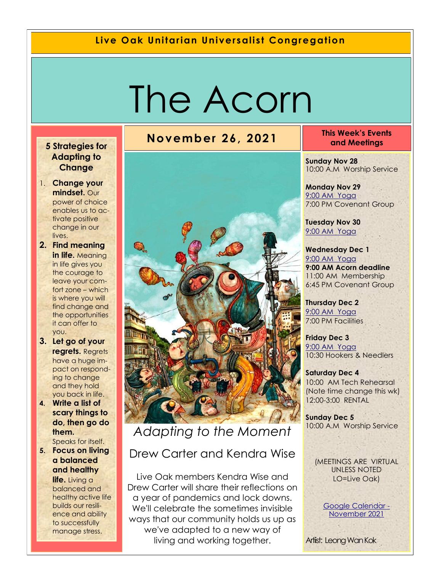#### **Live Oak Unitarian Universalist Congregation**

# The Acorn

#### **5 Strategies for Adapting to Change**

- 1. **Change your mindset.** Our power of choice enables us to activate positive change in our lives.
- **2. Find meaning in life.** Meaning in life gives you the courage to leave your comfort zone – which is where you will find change and the opportunities it can offer to you.
- **3. Let go of your regrets.** Regrets have a huge impact on responding to change and they hold you back in life.
- **4. Write a list of scary things to do, then go do them.**  Speaks for itself.
- **5. Focus on living a balanced and healthy life.** Living a balanced and healthy active life builds our resilience and ability to successfully manage stress.



*Adapting to the Moment*

### Drew Carter and Kendra Wise

Live Oak members Kendra Wise and Drew Carter will share their reflections on a year of pandemics and lock downs. We'll celebrate the sometimes invisible ways that our community holds us up as we've adapted to a new way of living and working together.

#### **November 26, 2021 This Week's Events and Meetings**

**Sunday Nov 28** 10:00 A.M Worship Service

**Monday Nov 29** 9[:00 AM Yoga](https://us02web.zoom.us/j/86278199291?pwd=WUh1MFJyVXNVOTIyQ1NmanJoSmNXQT09) 7:00 PM Covenant Group

**Tuesday Nov 30** [9:](https://us02web.zoom.us/meeting/register/tZ0pc-6qrTwqH9WUfmrB_nZu0MWqJ8CyS3Uw)[00 AM Yoga](https://us02web.zoom.us/j/86278199291?pwd=WUh1MFJyVXNVOTIyQ1NmanJoSmNXQT09) 

**Wednesday Dec 1** [9:](https://us02web.zoom.us/meeting/register/tZ0pc-6qrTwqH9WUfmrB_nZu0MWqJ8CyS3Uw)[00 AM Yoga](https://us02web.zoom.us/j/86278199291?pwd=WUh1MFJyVXNVOTIyQ1NmanJoSmNXQT09) **9:00 AM Acorn deadline**  11:00 AM Membership 6:45 PM Covenant Group

**Thursday Dec 2** [9:](https://us02web.zoom.us/meeting/register/tZ0pc-6qrTwqH9WUfmrB_nZu0MWqJ8CyS3Uw)[00 AM Yoga](https://us02web.zoom.us/j/86278199291?pwd=WUh1MFJyVXNVOTIyQ1NmanJoSmNXQT09) 7:00 PM Facilities

**Friday Dec 3** [9:](https://us02web.zoom.us/meeting/register/tZ0pc-6qrTwqH9WUfmrB_nZu0MWqJ8CyS3Uw)[00 AM Yoga](https://us02web.zoom.us/j/86278199291?pwd=WUh1MFJyVXNVOTIyQ1NmanJoSmNXQT09) 10:30 Hookers & Needlers

**Saturday Dec 4** 10:00 AM Tech Rehearsal (Note time change this wk) 12:00-3:00 RENTAL

**Sunday Dec 5** 10:00 A.M Worship Service

(MEETINGS ARE VIRTUAL UNLESS NOTED LO=Live Oak)

> [Google Calendar -](https://calendar.google.com/calendar/u/1/r/month/2021/11/1) [November 2021](https://calendar.google.com/calendar/u/1/r/month/2021/11/1)

Artiist: Leong Wan Kok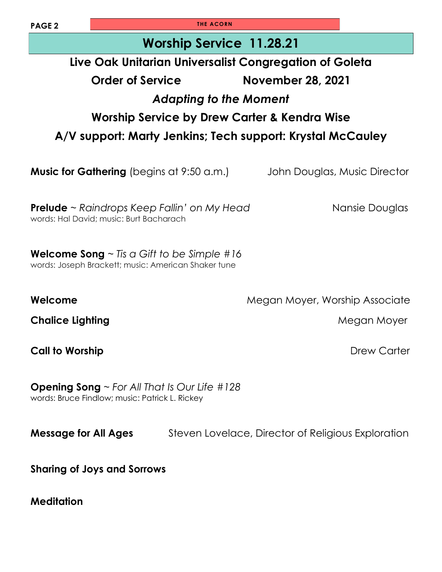| PAGE <sub>2</sub>                                                                                          | <b>THE ACORN</b>                                                                                   |                                                     |                                                    |  |  |  |
|------------------------------------------------------------------------------------------------------------|----------------------------------------------------------------------------------------------------|-----------------------------------------------------|----------------------------------------------------|--|--|--|
| <b>Worship Service 11.28.21</b>                                                                            |                                                                                                    |                                                     |                                                    |  |  |  |
| Live Oak Unitarian Universalist Congregation of Goleta                                                     |                                                                                                    |                                                     |                                                    |  |  |  |
|                                                                                                            | Order of Service                                                                                   |                                                     | <b>November 28, 2021</b>                           |  |  |  |
| <b>Adapting to the Moment</b>                                                                              |                                                                                                    |                                                     |                                                    |  |  |  |
| Worship Service by Drew Carter & Kendra Wise                                                               |                                                                                                    |                                                     |                                                    |  |  |  |
| A/V support: Marty Jenkins; Tech support: Krystal McCauley                                                 |                                                                                                    |                                                     |                                                    |  |  |  |
|                                                                                                            |                                                                                                    |                                                     |                                                    |  |  |  |
| <b>Music for Gathering</b> (begins at 9:50 a.m.)                                                           |                                                                                                    |                                                     | John Douglas, Music Director                       |  |  |  |
|                                                                                                            |                                                                                                    |                                                     |                                                    |  |  |  |
|                                                                                                            | <b>Prelude</b> $\sim$ Raindrops Keep Fallin' on My Head<br>words: Hal David; music: Burt Bacharach | Nansie Douglas                                      |                                                    |  |  |  |
|                                                                                                            |                                                                                                    |                                                     |                                                    |  |  |  |
| <b>Welcome Song</b> $\sim$ Tis a Gift to be Simple #16                                                     |                                                                                                    |                                                     |                                                    |  |  |  |
|                                                                                                            |                                                                                                    | words: Joseph Brackett; music: American Shaker tune |                                                    |  |  |  |
| Welcome                                                                                                    |                                                                                                    |                                                     | Megan Moyer, Worship Associate                     |  |  |  |
| <b>Chalice Lighting</b>                                                                                    |                                                                                                    |                                                     | Megan Moyer                                        |  |  |  |
|                                                                                                            |                                                                                                    |                                                     |                                                    |  |  |  |
| <b>Call to Worship</b>                                                                                     |                                                                                                    |                                                     | Drew Carter                                        |  |  |  |
|                                                                                                            |                                                                                                    |                                                     |                                                    |  |  |  |
| <b>Opening Song</b> $\sim$ For All That Is Our Life #128<br>words: Bruce Findlow; music: Patrick L. Rickey |                                                                                                    |                                                     |                                                    |  |  |  |
|                                                                                                            |                                                                                                    |                                                     |                                                    |  |  |  |
| <b>Message for All Ages</b>                                                                                |                                                                                                    |                                                     | Steven Lovelace, Director of Religious Exploration |  |  |  |
|                                                                                                            |                                                                                                    |                                                     |                                                    |  |  |  |
| <b>Sharing of Joys and Sorrows</b>                                                                         |                                                                                                    |                                                     |                                                    |  |  |  |
|                                                                                                            |                                                                                                    |                                                     |                                                    |  |  |  |
| <b>Meditation</b>                                                                                          |                                                                                                    |                                                     |                                                    |  |  |  |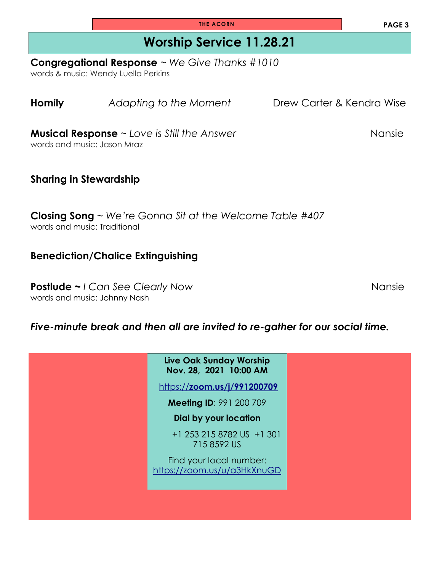| <b>Homily</b>                                                                                        |  | Adapting to the Moment                                   | Drew Carter & Kendra Wise |  |  |  |
|------------------------------------------------------------------------------------------------------|--|----------------------------------------------------------|---------------------------|--|--|--|
| Nansie<br><b>Musical Response</b> $\sim$ Love is Still the Answer<br>words and music: Jason Mraz     |  |                                                          |                           |  |  |  |
| <b>Sharing in Stewardship</b>                                                                        |  |                                                          |                           |  |  |  |
| <b>Closing Song</b> $\sim$ We're Gonna Sit at the Welcome Table #407<br>words and music: Traditional |  |                                                          |                           |  |  |  |
| <b>Benediction/Chalice Extinguishing</b>                                                             |  |                                                          |                           |  |  |  |
| <b>Postlude ~ I Can See Clearly Now</b><br>Nansie<br>words and music: Johnny Nash                    |  |                                                          |                           |  |  |  |
| Five-minute break and then all are invited to re-gather for our social time.                         |  |                                                          |                           |  |  |  |
|                                                                                                      |  | <b>Live Oak Sunday Worship</b><br>Nov. 28, 2021 10:00 AM |                           |  |  |  |
|                                                                                                      |  | https://zoom.us/j/991200709                              |                           |  |  |  |
|                                                                                                      |  | <b>Meeting ID: 991 200 709</b>                           |                           |  |  |  |
|                                                                                                      |  | <b>Dial by your location</b>                             |                           |  |  |  |
|                                                                                                      |  | +1 253 215 8782 US +1 301<br>715 8592 US                 |                           |  |  |  |
|                                                                                                      |  | Find your local number:<br>https://zoom.us/u/a3HkXnuGD   |                           |  |  |  |

### **Congregational Response** ~ *We Give Thanks #1010*

words & music: Wendy Luella Perkins

**PAGE 3**

**THE ACORN**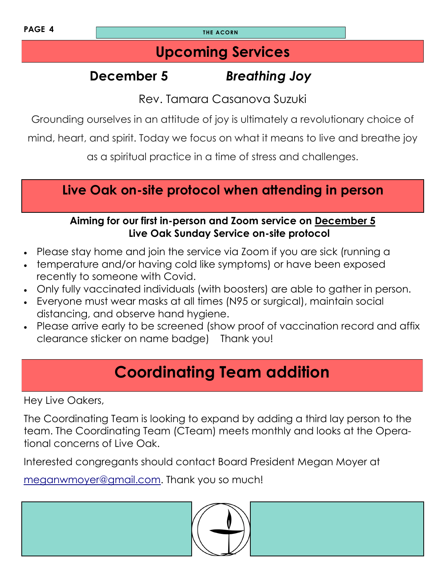**PAGE 4 THE ACORN** 

### **Upcoming Services**

# **December 5** *Breathing Joy*

Rev. Tamara Casanova Suzuki

Grounding ourselves in an attitude of joy is ultimately a revolutionary choice of

mind, heart, and spirit. Today we focus on what it means to live and breathe joy

as a spiritual practice in a time of stress and challenges.

### **Live Oak on-site protocol when attending in person**

### **Aiming for our first in-person and Zoom service on December 5 Live Oak Sunday Service on-site protocol**

- Please stay home and join the service via Zoom if you are sick (running a
- temperature and/or having cold like symptoms) or have been exposed recently to someone with Covid.
- Only fully vaccinated individuals (with boosters) are able to gather in person.
- Everyone must wear masks at all times (N95 or surgical), maintain social distancing, and observe hand hygiene.
- Please arrive early to be screened (show proof of vaccination record and affix clearance sticker on name badge) Thank you!

# **Coordinating Team addition**

Hey Live Oakers,

The Coordinating Team is looking to expand by adding a third lay person to the team. The Coordinating Team (CTeam) meets monthly and looks at the Operational concerns of Live Oak.

Interested congregants should contact Board President Megan Moyer at

[meganwmoyer@gmail.com.](mailto:meganwmoyer@gmail.com) Thank you so much!

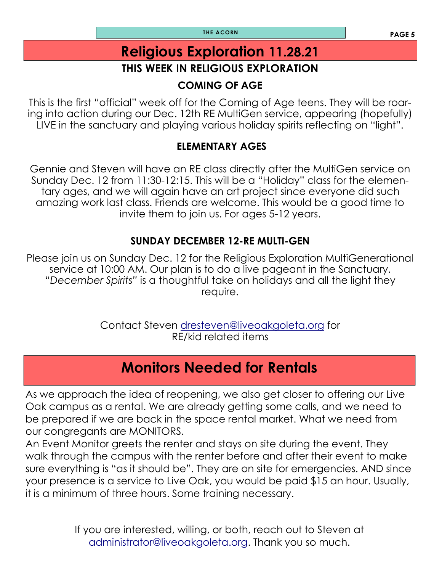**PAGE 5 THE ACORN**

# **Religious Exploration 11.28.21**

### **THIS WEEK IN RELIGIOUS EXPLORATION**

### **COMING OF AGE**

This is the first "official" week off for the Coming of Age teens. They will be roaring into action during our Dec. 12th RE MultiGen service, appearing (hopefully) LIVE in the sanctuary and playing various holiday spirits reflecting on "light".

### **ELEMENTARY AGES**

Gennie and Steven will have an RE class directly after the MultiGen service on Sunday Dec. 12 from 11:30-12:15. This will be a "Holiday" class for the elementary ages, and we will again have an art project since everyone did such amazing work last class. Friends are welcome. This would be a good time to invite them to join us. For ages 5-12 years.

### **SUNDAY DECEMBER 12-RE MULTI-GEN**

Please join us on Sunday Dec. 12 for the Religious Exploration MultiGenerational service at 10:00 AM. Our plan is to do a live pageant in the Sanctuary. "*December Spirits"* is a thoughtful take on holidays and all the light they require.

> Contact Steven [dresteven@liveoakgoleta.org](mailto:dresteven@liveoakgoleta.org) for RE/kid related items

### **Monitors Needed for Rentals**

As we approach the idea of reopening, we also get closer to offering our Live Oak campus as a rental. We are already getting some calls, and we need to be prepared if we are back in the space rental market. What we need from our congregants are MONITORS.

An Event Monitor greets the renter and stays on site during the event. They walk through the campus with the renter before and after their event to make sure everything is "as it should be". They are on site for emergencies. AND since your presence is a service to Live Oak, you would be paid \$15 an hour. Usually, it is a minimum of three hours. Some training necessary.

> If you are interested, willing, or both, reach out to Steven at [administrator@liveoakgoleta.org.](mailto:administrator@liveoakgoleta.org) Thank you so much.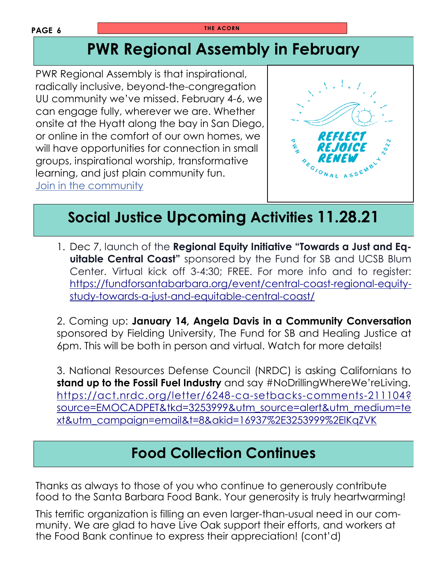#### **PAGE 6**

# **PWR Regional Assembly in February**

PWR Regional Assembly is that inspirational, radically inclusive, beyond-the-congregation UU community we've missed. February 4-6, we can engage fully, wherever we are. Whether onsite at the Hyatt along the bay in San Diego, or online in the comfort of our own homes, we will have opportunities for connection in small groups, inspirational worship, transformative learning, and just plain community fun. [Join in the community](https://www.uua.org/pacific-western/blog/ra-2022)



# **Social Justice Upcoming Activities 11.28.21**

1. Dec 7, launch of the **Regional Equity Initiative "Towards a Just and Equitable Central Coast"** sponsored by the Fund for SB and UCSB Blum Center. Virtual kick off 3-4:30; FREE. For more info and to register: [https://fundforsantabarbara.org/event/central-coast-regional-equity](https://fundforsantabarbara.org/event/central-coast-regional-equity-study-towards-a-just-and-equitable-central-coast/)[study-towards-a-just-and-equitable-central-coast/](https://fundforsantabarbara.org/event/central-coast-regional-equity-study-towards-a-just-and-equitable-central-coast/)

2. Coming up: **January 14, Angela Davis in a Community Conversation** sponsored by Fielding University, The Fund for SB and Healing Justice at 6pm. This will be both in person and virtual. Watch for more details!

3. National Resources Defense Council (NRDC) is asking Californians to **stand up to the Fossil Fuel Industry** and say #NoDrillingWhereWe'reLiving. [https://act.nrdc.org/letter/6248-ca-setbacks-comments-211104?](https://act.nrdc.org/letter/6248-ca-setbacks-comments-211104?source=EMOCADPET&tkd=3253999&utm_source=alert&utm_medium=text&utm_campaign=email&t=8&akid=16937%2E3253999%2ElKqZVK) [source=EMOCADPET&tkd=3253999&utm\\_source=alert&utm\\_medium=te](https://act.nrdc.org/letter/6248-ca-setbacks-comments-211104?source=EMOCADPET&tkd=3253999&utm_source=alert&utm_medium=text&utm_campaign=email&t=8&akid=16937%2E3253999%2ElKqZVK) [xt&utm\\_campaign=email&t=8&akid=16937%2E3253999%2ElKqZVK](https://act.nrdc.org/letter/6248-ca-setbacks-comments-211104?source=EMOCADPET&tkd=3253999&utm_source=alert&utm_medium=text&utm_campaign=email&t=8&akid=16937%2E3253999%2ElKqZVK)

### **Food Collection Continues**

Thanks as always to those of you who continue to generously contribute food to the Santa Barbara Food Bank. Your generosity is truly heartwarming!

This terrific organization is filling an even larger-than-usual need in our community. We are glad to have Live Oak support their efforts, and workers at the Food Bank continue to express their appreciation! (cont'd)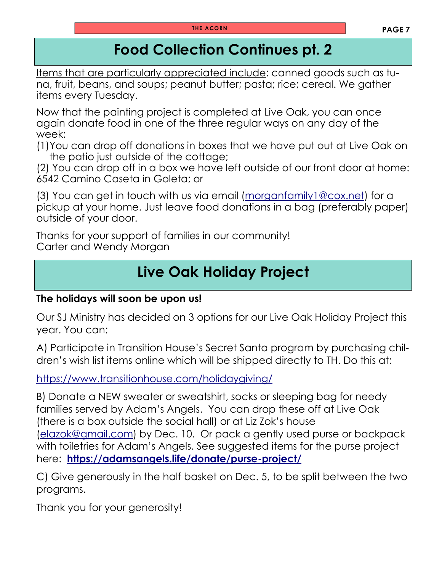## **Food Collection Continues pt. 2**

Items that are particularly appreciated include: canned goods such as tuna, fruit, beans, and soups; peanut butter; pasta; rice; cereal. We gather items every Tuesday.

Now that the painting project is completed at Live Oak, you can once again donate food in one of the three regular ways on any day of the week:

(1)You can drop off donations in boxes that we have put out at Live Oak on the patio just outside of the cottage;

(2) You can drop off in a box we have left outside of our front door at home: 6542 Camino Caseta in Goleta; or

(3) You can get in touch with us via email [\(morganfamily1@cox.net\)](mailto:morganfamily1@cox.net) for a pickup at your home. Just leave food donations in a bag (preferably paper) outside of your door.

Thanks for your support of families in our community! Carter and Wendy Morgan

# **Live Oak Holiday Project**

#### **The holidays will soon be upon us!**

Our SJ Ministry has decided on 3 options for our Live Oak Holiday Project this year. You can:

A) Participate in Transition House's Secret Santa program by purchasing children's wish list items online which will be shipped directly to TH. Do this at:

<https://www.transitionhouse.com/holidaygiving/>

B) Donate a NEW sweater or sweatshirt, socks or sleeping bag for needy families served by Adam's Angels. You can drop these off at Live Oak (there is a box outside the social hall) or at Liz Zok's house [\(elazok@gmail.com\)](mailto:elazok@gmail.com) by Dec. 10. Or pack a gently used purse or backpack with toiletries for Adam's Angels. See suggested items for the purse project here: **<https://adamsangels.life/donate/purse-project/>**

C) Give generously in the half basket on Dec. 5, to be split between the two programs.

Thank you for your generosity!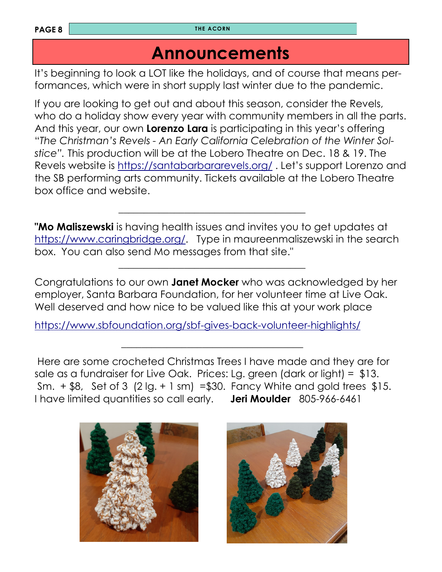**PAGE 8 THE ACORN** 

## **Announcements**

It's beginning to look a LOT like the holidays, and of course that means performances, which were in short supply last winter due to the pandemic.

If you are looking to get out and about this season, consider the Revels, who do a holiday show every year with community members in all the parts. And this year, our own **Lorenzo Lara** is participating in this year's offering "*The Christman's Revels - An Early California Celebration of the Winter Solstice".* This production will be at the Lobero Theatre on Dec. 18 & 19. The Revels website is <https://santabarbararevels.org/> . Let's support Lorenzo and the SB performing arts community. Tickets available at the Lobero Theatre box office and website.

**"Mo Maliszewski** is having health issues and invites you to get updates at [https://www.caringbridge.org/.](https://www.caringbridge.org) Type in maureenmaliszewski in the search box. You can also send Mo messages from that site."

Congratulations to our own **Janet Mocker** who was acknowledged by her employer, Santa Barbara Foundation, for her volunteer time at Live Oak. Well deserved and how nice to be valued like this at your work place

<https://www.sbfoundation.org/sbf-gives-back-volunteer-highlights/>

 $\mathcal{L}_\text{max}$  , and the contract of the contract of the contract of the contract of the contract of the contract of the contract of the contract of the contract of the contract of the contract of the contract of the contr

 $\mathcal{L}_\text{max}$  , and the contract of the contract of the contract of the contract of the contract of the contract of the contract of the contract of the contract of the contract of the contract of the contract of the contr

 $\mathcal{L}_\mathcal{L}$  , which is a set of the set of the set of the set of the set of the set of the set of the set of the set of the set of the set of the set of the set of the set of the set of the set of the set of the set of

Here are some crocheted Christmas Trees I have made and they are for sale as a fundraiser for Live Oak. Prices: Lg. green (dark or light) = \$13. Sm.  $+$  \$8, Set of 3 (2 lg.  $+$  1 sm) = \$30. Fancy White and gold trees \$15. I have limited quantities so call early. **Jeri Moulder** 805-966-6461